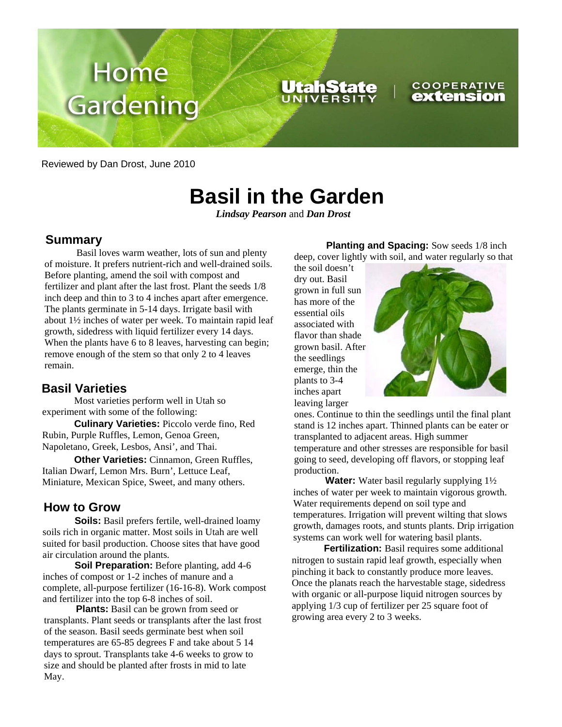

Reviewed by Dan Drost, June 2010

# **Basil in the Garden**

*Lindsay Pearson* and *Dan Drost* 

## **Summary**

Basil loves warm weather, lots of sun and plenty of moisture. It prefers nutrient-rich and well-drained soils. Before planting, amend the soil with compost and fertilizer and plant after the last frost. Plant the seeds 1/8 inch deep and thin to 3 to 4 inches apart after emergence. The plants germinate in 5-14 days. Irrigate basil with about 1½ inches of water per week. To maintain rapid leaf growth, sidedress with liquid fertilizer every 14 days. When the plants have 6 to 8 leaves, harvesting can begin; remove enough of the stem so that only 2 to 4 leaves remain.

## **Basil Varieties**

Most varieties perform well in Utah so experiment with some of the following:

**Culinary Varieties:** Piccolo verde fino, Red Rubin, Purple Ruffles, Lemon, Genoa Green, Napoletano, Greek, Lesbos, Ansi', and Thai.

**Other Varieties:** Cinnamon, Green Ruffles, Italian Dwarf, Lemon Mrs. Burn', Lettuce Leaf, Miniature, Mexican Spice, Sweet, and many others.

## **How to Grow**

**Soils:** Basil prefers fertile, well-drained loamy soils rich in organic matter. Most soils in Utah are well suited for basil production. Choose sites that have good air circulation around the plants.

**Soil Preparation:** Before planting, add 4-6 inches of compost or 1-2 inches of manure and a complete, all-purpose fertilizer (16-16-8). Work compost and fertilizer into the top 6-8 inches of soil.

**Plants:** Basil can be grown from seed or transplants. Plant seeds or transplants after the last frost of the season. Basil seeds germinate best when soil temperatures are 65-85 degrees F and take about 5 14 days to sprout. Transplants take 4-6 weeks to grow to size and should be planted after frosts in mid to late May.

**Planting and Spacing:** Sow seeds 1/8 inch deep, cover lightly with soil, and water regularly so that

the soil doesn't dry out. Basil grown in full sun has more of the essential oils associated with flavor than shade grown basil. After the seedlings emerge, thin the plants to 3-4 inches apart leaving larger



ones. Continue to thin the seedlings until the final plant stand is 12 inches apart. Thinned plants can be eater or transplanted to adjacent areas. High summer temperature and other stresses are responsible for basil going to seed, developing off flavors, or stopping leaf production.

**Water:** Water basil regularly supplying  $1\frac{1}{2}$ inches of water per week to maintain vigorous growth. Water requirements depend on soil type and temperatures. Irrigation will prevent wilting that slows growth, damages roots, and stunts plants. Drip irrigation systems can work well for watering basil plants.

**Fertilization:** Basil requires some additional nitrogen to sustain rapid leaf growth, especially when pinching it back to constantly produce more leaves. Once the planats reach the harvestable stage, sidedress with organic or all-purpose liquid nitrogen sources by applying 1/3 cup of fertilizer per 25 square foot of growing area every 2 to 3 weeks.